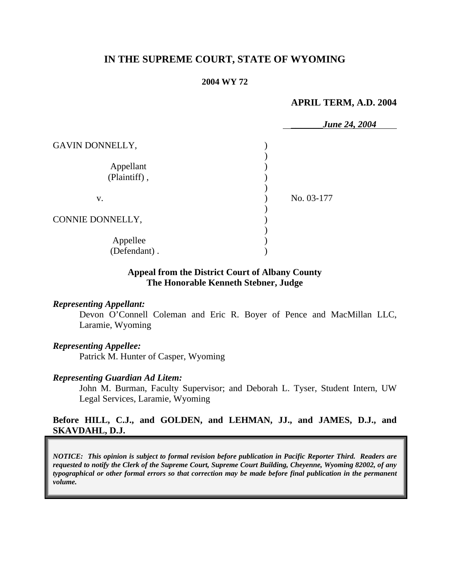# **IN THE SUPREME COURT, STATE OF WYOMING**

#### **2004 WY 72**

### **APRIL TERM, A.D. 2004**

|                           | <b>June 24, 2004</b> |
|---------------------------|----------------------|
| GAVIN DONNELLY,           |                      |
| Appellant<br>(Plaintiff), |                      |
| V.                        | No. 03-177           |
| CONNIE DONNELLY,          |                      |
| Appellee<br>(Defendant).  |                      |

### **Appeal from the District Court of Albany County The Honorable Kenneth Stebner, Judge**

#### *Representing Appellant:*

Devon O'Connell Coleman and Eric R. Boyer of Pence and MacMillan LLC, Laramie, Wyoming

#### *Representing Appellee:*

Patrick M. Hunter of Casper, Wyoming

#### *Representing Guardian Ad Litem:*

John M. Burman, Faculty Supervisor; and Deborah L. Tyser, Student Intern, UW Legal Services, Laramie, Wyoming

#### **Before HILL, C.J., and GOLDEN, and LEHMAN, JJ., and JAMES, D.J., and SKAVDAHL, D.J.**

*NOTICE: This opinion is subject to formal revision before publication in Pacific Reporter Third. Readers are requested to notify the Clerk of the Supreme Court, Supreme Court Building, Cheyenne, Wyoming 82002, of any typographical or other formal errors so that correction may be made before final publication in the permanent volume.*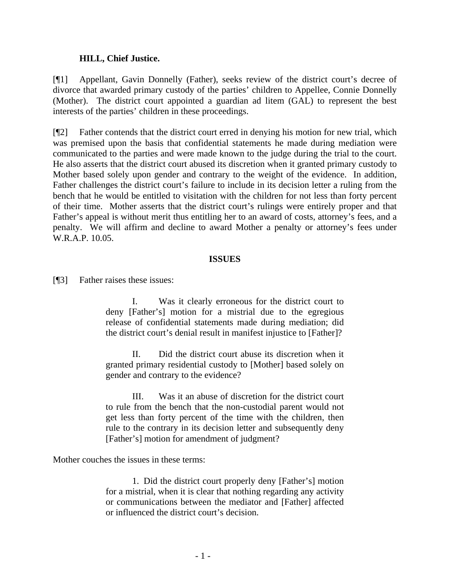### **HILL, Chief Justice.**

[¶1] Appellant, Gavin Donnelly (Father), seeks review of the district court's decree of divorce that awarded primary custody of the parties' children to Appellee, Connie Donnelly (Mother). The district court appointed a guardian ad litem (GAL) to represent the best interests of the parties' children in these proceedings.

[¶2] Father contends that the district court erred in denying his motion for new trial, which was premised upon the basis that confidential statements he made during mediation were communicated to the parties and were made known to the judge during the trial to the court. He also asserts that the district court abused its discretion when it granted primary custody to Mother based solely upon gender and contrary to the weight of the evidence. In addition, Father challenges the district court's failure to include in its decision letter a ruling from the bench that he would be entitled to visitation with the children for not less than forty percent of their time. Mother asserts that the district court's rulings were entirely proper and that Father's appeal is without merit thus entitling her to an award of costs, attorney's fees, and a penalty. We will affirm and decline to award Mother a penalty or attorney's fees under W.R.A.P. 10.05.

#### **ISSUES**

[¶3] Father raises these issues:

I. Was it clearly erroneous for the district court to deny [Father's] motion for a mistrial due to the egregious release of confidential statements made during mediation; did the district court's denial result in manifest injustice to [Father]?

II. Did the district court abuse its discretion when it granted primary residential custody to [Mother] based solely on gender and contrary to the evidence?

III. Was it an abuse of discretion for the district court to rule from the bench that the non-custodial parent would not get less than forty percent of the time with the children, then rule to the contrary in its decision letter and subsequently deny [Father's] motion for amendment of judgment?

Mother couches the issues in these terms:

1. Did the district court properly deny [Father's] motion for a mistrial, when it is clear that nothing regarding any activity or communications between the mediator and [Father] affected or influenced the district court's decision.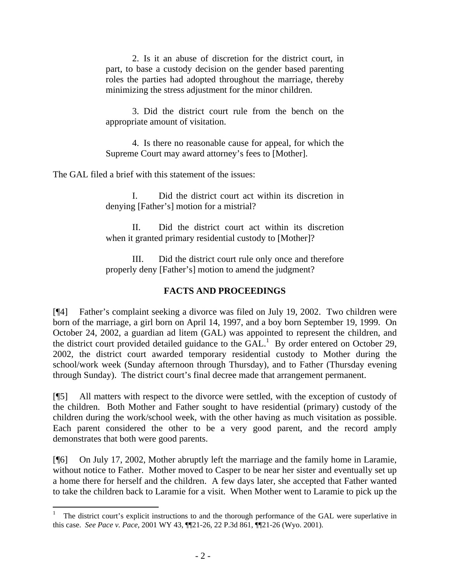2. Is it an abuse of discretion for the district court, in part, to base a custody decision on the gender based parenting roles the parties had adopted throughout the marriage, thereby minimizing the stress adjustment for the minor children.

3. Did the district court rule from the bench on the appropriate amount of visitation.

4. Is there no reasonable cause for appeal, for which the Supreme Court may award attorney's fees to [Mother].

The GAL filed a brief with this statement of the issues:

I. Did the district court act within its discretion in denying [Father's] motion for a mistrial?

II. Did the district court act within its discretion when it granted primary residential custody to [Mother]?

III. Did the district court rule only once and therefore properly deny [Father's] motion to amend the judgment?

# **FACTS AND PROCEEDINGS**

[¶4] Father's complaint seeking a divorce was filed on July 19, 2002. Two children were born of the marriage, a girl born on April 14, 1997, and a boy born September 19, 1999. On October 24, 2002, a guardian ad litem (GAL) was appointed to represent the children, and the district court provided detailed guidance to the  $GAL<sup>1</sup>$  By order entered on October 29, 2002, the district court awarded temporary residential custody to Mother during the school/work week (Sunday afternoon through Thursday), and to Father (Thursday evening through Sunday). The district court's final decree made that arrangement permanent.

[¶5] All matters with respect to the divorce were settled, with the exception of custody of the children. Both Mother and Father sought to have residential (primary) custody of the children during the work/school week, with the other having as much visitation as possible. Each parent considered the other to be a very good parent, and the record amply demonstrates that both were good parents.

[¶6] On July 17, 2002, Mother abruptly left the marriage and the family home in Laramie, without notice to Father. Mother moved to Casper to be near her sister and eventually set up a home there for herself and the children. A few days later, she accepted that Father wanted to take the children back to Laramie for a visit. When Mother went to Laramie to pick up the

<sup>1</sup> The district court's explicit instructions to and the thorough performance of the GAL were superlative in this case. *See Pace v. Pace*, 2001 WY 43, ¶¶21-26, 22 P.3d 861, ¶¶21-26 (Wyo. 2001).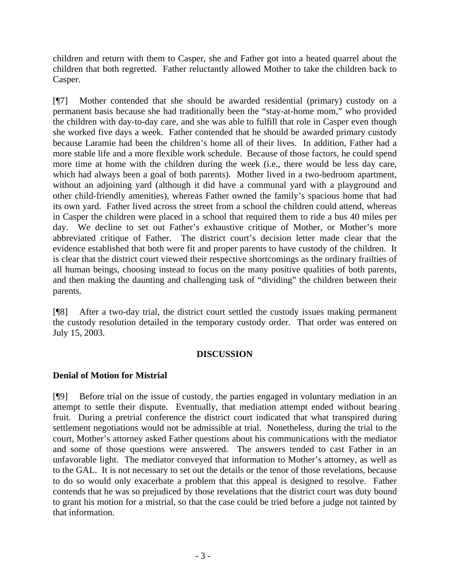children and return with them to Casper, she and Father got into a heated quarrel about the children that both regretted. Father reluctantly allowed Mother to take the children back to Casper.

[¶7] Mother contended that she should be awarded residential (primary) custody on a permanent basis because she had traditionally been the "stay-at-home mom," who provided the children with day-to-day care, and she was able to fulfill that role in Casper even though she worked five days a week. Father contended that he should be awarded primary custody because Laramie had been the children's home all of their lives. In addition, Father had a more stable life and a more flexible work schedule. Because of those factors, he could spend more time at home with the children during the week (i.e., there would be less day care, which had always been a goal of both parents). Mother lived in a two-bedroom apartment, without an adjoining yard (although it did have a communal yard with a playground and other child-friendly amenities), whereas Father owned the family's spacious home that had its own yard. Father lived across the street from a school the children could attend, whereas in Casper the children were placed in a school that required them to ride a bus 40 miles per day. We decline to set out Father's exhaustive critique of Mother, or Mother's more abbreviated critique of Father. The district court's decision letter made clear that the evidence established that both were fit and proper parents to have custody of the children. It is clear that the district court viewed their respective shortcomings as the ordinary frailties of all human beings, choosing instead to focus on the many positive qualities of both parents, and then making the daunting and challenging task of "dividing" the children between their parents.

[¶8] After a two-day trial, the district court settled the custody issues making permanent the custody resolution detailed in the temporary custody order. That order was entered on July 15, 2003.

## **DISCUSSION**

## **Denial of Motion for Mistrial**

[¶9] Before trial on the issue of custody, the parties engaged in voluntary mediation in an attempt to settle their dispute. Eventually, that mediation attempt ended without bearing fruit. During a pretrial conference the district court indicated that what transpired during settlement negotiations would not be admissible at trial. Nonetheless, during the trial to the court, Mother's attorney asked Father questions about his communications with the mediator and some of those questions were answered. The answers tended to cast Father in an unfavorable light. The mediator conveyed that information to Mother's attorney, as well as to the GAL. It is not necessary to set out the details or the tenor of those revelations, because to do so would only exacerbate a problem that this appeal is designed to resolve. Father contends that he was so prejudiced by those revelations that the district court was duty bound to grant his motion for a mistrial, so that the case could be tried before a judge not tainted by that information.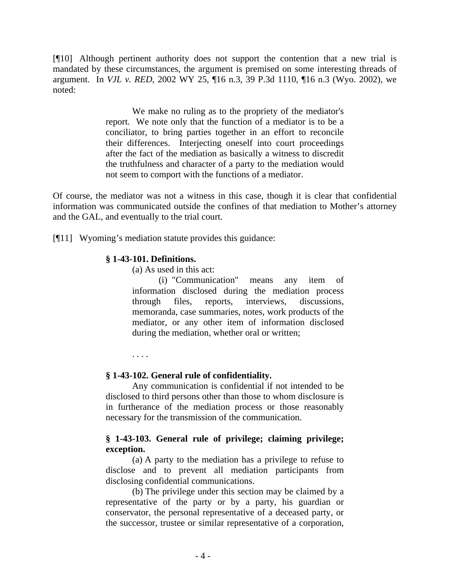[¶10] Although pertinent authority does not support the contention that a new trial is mandated by these circumstances, the argument is premised on some interesting threads of argument. In *VJL v. RED*, 2002 WY 25, ¶16 n.3, 39 P.3d 1110, ¶16 n.3 (Wyo. 2002), we noted:

> We make no ruling as to the propriety of the mediator's report. We note only that the function of a mediator is to be a conciliator, to bring parties together in an effort to reconcile their differences. Interjecting oneself into court proceedings after the fact of the mediation as basically a witness to discredit the truthfulness and character of a party to the mediation would not seem to comport with the functions of a mediator.

Of course, the mediator was not a witness in this case, though it is clear that confidential information was communicated outside the confines of that mediation to Mother's attorney and the GAL, and eventually to the trial court.

[¶11] Wyoming's mediation statute provides this guidance:

#### **§ 1-43-101. Definitions.**

(a) As used in this act:

(i) "Communication" means any item of information disclosed during the mediation process through files, reports, interviews, discussions, memoranda, case summaries, notes, work products of the mediator, or any other item of information disclosed during the mediation, whether oral or written;

. . . .

## **§ 1-43-102. General rule of confidentiality.**

Any communication is confidential if not intended to be disclosed to third persons other than those to whom disclosure is in furtherance of the mediation process or those reasonably necessary for the transmission of the communication.

## **§ 1-43-103. General rule of privilege; claiming privilege; exception.**

(a) A party to the mediation has a privilege to refuse to disclose and to prevent all mediation participants from disclosing confidential communications.

(b) The privilege under this section may be claimed by a representative of the party or by a party, his guardian or conservator, the personal representative of a deceased party, or the successor, trustee or similar representative of a corporation,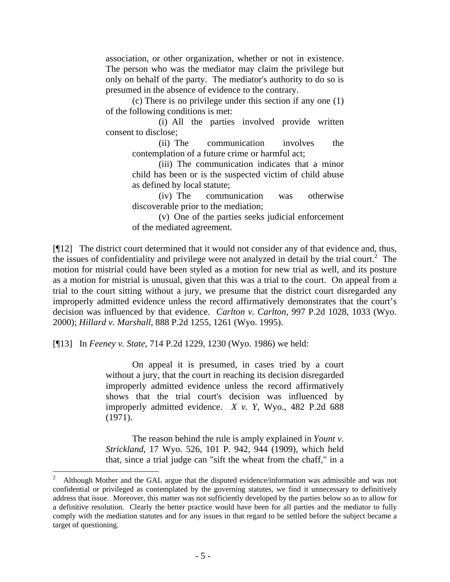association, or other organization, whether or not in existence. The person who was the mediator may claim the privilege but only on behalf of the party. The mediator's authority to do so is presumed in the absence of evidence to the contrary.

(c) There is no privilege under this section if any one (1) of the following conditions is met:

(i) All the parties involved provide written consent to disclose;

(ii) The communication involves the contemplation of a future crime or harmful act;

(iii) The communication indicates that a minor child has been or is the suspected victim of child abuse as defined by local statute;

(iv) The communication was otherwise discoverable prior to the mediation;

(v) One of the parties seeks judicial enforcement of the mediated agreement.

[¶12] The district court determined that it would not consider any of that evidence and, thus, the issues of confidentiality and privilege were not analyzed in detail by the trial court.<sup>2</sup> The motion for mistrial could have been styled as a motion for new trial as well, and its posture as a motion for mistrial is unusual, given that this was a trial to the court. On appeal from a trial to the court sitting without a jury, we presume that the district court disregarded any improperly admitted evidence unless the record affirmatively demonstrates that the court's decision was influenced by that evidence. *Carlton v. Carlton*, 997 P.2d 1028, 1033 (Wyo. 2000); *Hillard v. Marshall*, 888 P.2d 1255, 1261 (Wyo. 1995).

[¶13] In *Feeney v. State*, 714 P.2d 1229, 1230 (Wyo. 1986) we held:

 $\overline{a}$ 

On appeal it is presumed, in cases tried by a court without a jury, that the court in reaching its decision disregarded improperly admitted evidence unless the record affirmatively shows that the trial court's decision was influenced by improperly admitted evidence. *X v. Y*, Wyo., 482 P.2d 688 (1971).

The reason behind the rule is amply explained in *Yount v. Strickland*, 17 Wyo. 526, 101 P. 942, 944 (1909), which held that, since a trial judge can "sift the wheat from the chaff," in a

<sup>2</sup> Although Mother and the GAL argue that the disputed evidence/information was admissible and was not confidential or privileged as contemplated by the governing statutes, we find it unnecessary to definitively address that issue. Moreover, this matter was not sufficiently developed by the parties below so as to allow for a definitive resolution. Clearly the better practice would have been for all parties and the mediator to fully comply with the mediation statutes and for any issues in that regard to be settled before the subject became a target of questioning.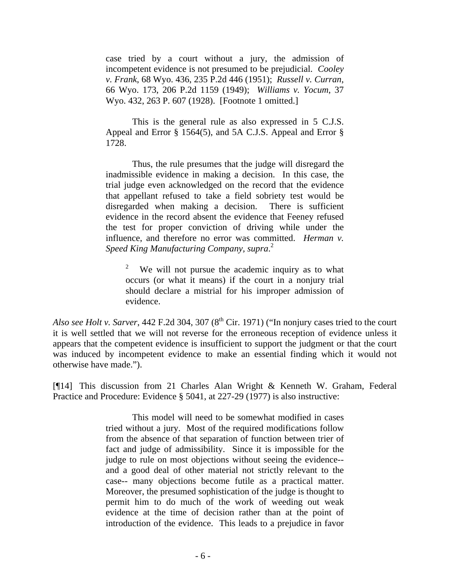case tried by a court without a jury, the admission of incompetent evidence is not presumed to be prejudicial. *Cooley v. Frank*, 68 Wyo. 436, 235 P.2d 446 (1951); *Russell v. Curran*, 66 Wyo. 173, 206 P.2d 1159 (1949); *Williams v. Yocum*, 37 Wyo. 432, 263 P. 607 (1928). [Footnote 1 omitted.]

This is the general rule as also expressed in 5 C.J.S. Appeal and Error § 1564(5), and 5A C.J.S. Appeal and Error § 1728.

Thus, the rule presumes that the judge will disregard the inadmissible evidence in making a decision. In this case, the trial judge even acknowledged on the record that the evidence that appellant refused to take a field sobriety test would be disregarded when making a decision. There is sufficient evidence in the record absent the evidence that Feeney refused the test for proper conviction of driving while under the influence, and therefore no error was committed. *Herman v. Speed King Manufacturing Company, supra*. 2

<sup>2</sup> We will not pursue the academic inquiry as to what occurs (or what it means) if the court in a nonjury trial should declare a mistrial for his improper admission of evidence.

*Also see Holt v. Sarver*, 442 F.2d 304, 307 ( $8<sup>th</sup>$  Cir. 1971) ("In nonjury cases tried to the court it is well settled that we will not reverse for the erroneous reception of evidence unless it appears that the competent evidence is insufficient to support the judgment or that the court was induced by incompetent evidence to make an essential finding which it would not otherwise have made.").

[¶14] This discussion from 21 Charles Alan Wright & Kenneth W. Graham, Federal Practice and Procedure: Evidence § 5041, at 227-29 (1977) is also instructive:

> This model will need to be somewhat modified in cases tried without a jury. Most of the required modifications follow from the absence of that separation of function between trier of fact and judge of admissibility. Since it is impossible for the judge to rule on most objections without seeing the evidence- and a good deal of other material not strictly relevant to the case-- many objections become futile as a practical matter. Moreover, the presumed sophistication of the judge is thought to permit him to do much of the work of weeding out weak evidence at the time of decision rather than at the point of introduction of the evidence. This leads to a prejudice in favor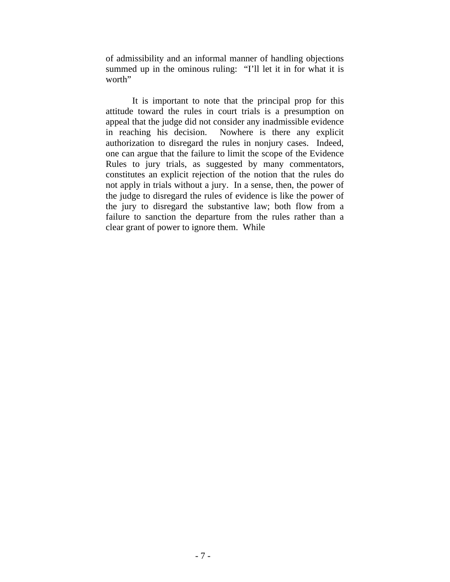of admissibility and an informal manner of handling objections summed up in the ominous ruling: "I'll let it in for what it is worth"

It is important to note that the principal prop for this attitude toward the rules in court trials is a presumption on appeal that the judge did not consider any inadmissible evidence in reaching his decision. Nowhere is there any explicit authorization to disregard the rules in nonjury cases. Indeed, one can argue that the failure to limit the scope of the Evidence Rules to jury trials, as suggested by many commentators, constitutes an explicit rejection of the notion that the rules do not apply in trials without a jury. In a sense, then, the power of the judge to disregard the rules of evidence is like the power of the jury to disregard the substantive law; both flow from a failure to sanction the departure from the rules rather than a clear grant of power to ignore them. While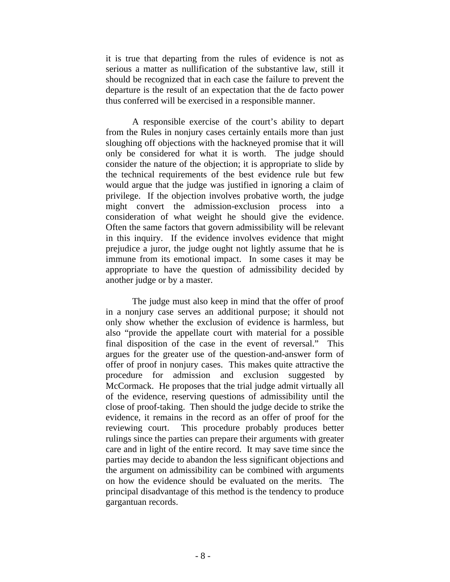it is true that departing from the rules of evidence is not as serious a matter as nullification of the substantive law, still it should be recognized that in each case the failure to prevent the departure is the result of an expectation that the de facto power thus conferred will be exercised in a responsible manner.

A responsible exercise of the court's ability to depart from the Rules in nonjury cases certainly entails more than just sloughing off objections with the hackneyed promise that it will only be considered for what it is worth. The judge should consider the nature of the objection; it is appropriate to slide by the technical requirements of the best evidence rule but few would argue that the judge was justified in ignoring a claim of privilege. If the objection involves probative worth, the judge might convert the admission-exclusion process into a consideration of what weight he should give the evidence. Often the same factors that govern admissibility will be relevant in this inquiry. If the evidence involves evidence that might prejudice a juror, the judge ought not lightly assume that he is immune from its emotional impact. In some cases it may be appropriate to have the question of admissibility decided by another judge or by a master.

The judge must also keep in mind that the offer of proof in a nonjury case serves an additional purpose; it should not only show whether the exclusion of evidence is harmless, but also "provide the appellate court with material for a possible final disposition of the case in the event of reversal." This argues for the greater use of the question-and-answer form of offer of proof in nonjury cases. This makes quite attractive the procedure for admission and exclusion suggested by McCormack. He proposes that the trial judge admit virtually all of the evidence, reserving questions of admissibility until the close of proof-taking. Then should the judge decide to strike the evidence, it remains in the record as an offer of proof for the reviewing court. This procedure probably produces better rulings since the parties can prepare their arguments with greater care and in light of the entire record. It may save time since the parties may decide to abandon the less significant objections and the argument on admissibility can be combined with arguments on how the evidence should be evaluated on the merits. The principal disadvantage of this method is the tendency to produce gargantuan records.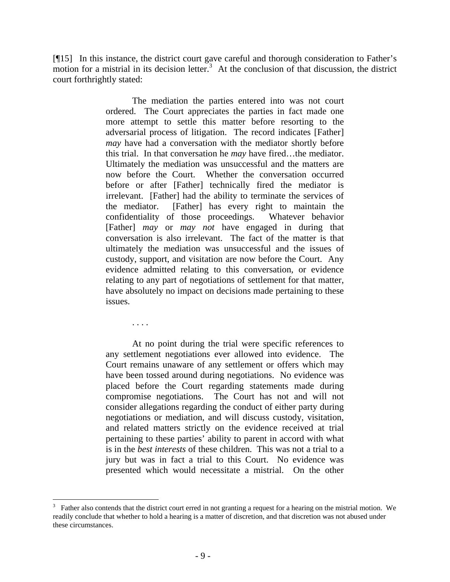[¶15] In this instance, the district court gave careful and thorough consideration to Father's motion for a mistrial in its decision letter.<sup>3</sup> At the conclusion of that discussion, the district court forthrightly stated:

> The mediation the parties entered into was not court ordered. The Court appreciates the parties in fact made one more attempt to settle this matter before resorting to the adversarial process of litigation. The record indicates [Father] *may* have had a conversation with the mediator shortly before this trial. In that conversation he *may* have fired…the mediator. Ultimately the mediation was unsuccessful and the matters are now before the Court. Whether the conversation occurred before or after [Father] technically fired the mediator is irrelevant. [Father] had the ability to terminate the services of the mediator. [Father] has every right to maintain the confidentiality of those proceedings. Whatever behavior [Father] *may* or *may not* have engaged in during that conversation is also irrelevant. The fact of the matter is that ultimately the mediation was unsuccessful and the issues of custody, support, and visitation are now before the Court. Any evidence admitted relating to this conversation, or evidence relating to any part of negotiations of settlement for that matter, have absolutely no impact on decisions made pertaining to these issues.

> > . . . .

 $\overline{a}$ 

At no point during the trial were specific references to any settlement negotiations ever allowed into evidence. The Court remains unaware of any settlement or offers which may have been tossed around during negotiations. No evidence was placed before the Court regarding statements made during compromise negotiations. The Court has not and will not consider allegations regarding the conduct of either party during negotiations or mediation, and will discuss custody, visitation, and related matters strictly on the evidence received at trial pertaining to these parties' ability to parent in accord with what is in the *best interests* of these children. This was not a trial to a jury but was in fact a trial to this Court. No evidence was presented which would necessitate a mistrial. On the other

<sup>3</sup> Father also contends that the district court erred in not granting a request for a hearing on the mistrial motion. We readily conclude that whether to hold a hearing is a matter of discretion, and that discretion was not abused under these circumstances.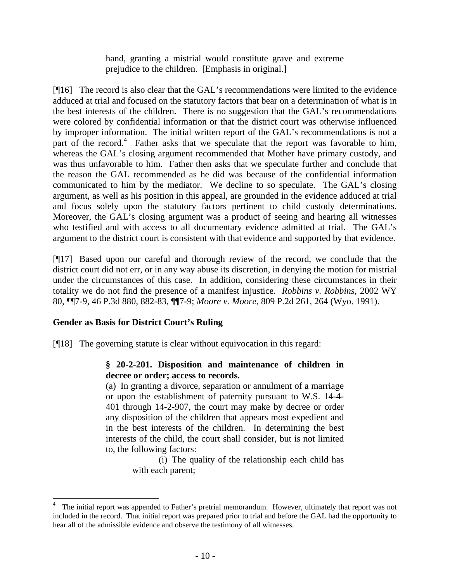hand, granting a mistrial would constitute grave and extreme prejudice to the children. [Emphasis in original.]

[¶16] The record is also clear that the GAL's recommendations were limited to the evidence adduced at trial and focused on the statutory factors that bear on a determination of what is in the best interests of the children. There is no suggestion that the GAL's recommendations were colored by confidential information or that the district court was otherwise influenced by improper information. The initial written report of the GAL's recommendations is not a part of the record.<sup>4</sup> Father asks that we speculate that the report was favorable to him, whereas the GAL's closing argument recommended that Mother have primary custody, and was thus unfavorable to him. Father then asks that we speculate further and conclude that the reason the GAL recommended as he did was because of the confidential information communicated to him by the mediator. We decline to so speculate. The GAL's closing argument, as well as his position in this appeal, are grounded in the evidence adduced at trial and focus solely upon the statutory factors pertinent to child custody determinations. Moreover, the GAL's closing argument was a product of seeing and hearing all witnesses who testified and with access to all documentary evidence admitted at trial. The GAL's argument to the district court is consistent with that evidence and supported by that evidence.

[¶17] Based upon our careful and thorough review of the record, we conclude that the district court did not err, or in any way abuse its discretion, in denying the motion for mistrial under the circumstances of this case. In addition, considering these circumstances in their totality we do not find the presence of a manifest injustice. *Robbins v. Robbins*, 2002 WY 80, ¶¶7-9, 46 P.3d 880, 882-83, ¶¶7-9; *Moore v. Moore*, 809 P.2d 261, 264 (Wyo. 1991).

# **Gender as Basis for District Court's Ruling**

[¶18] The governing statute is clear without equivocation in this regard:

# **§ 20-2-201. Disposition and maintenance of children in decree or order; access to records.**

(a) In granting a divorce, separation or annulment of a marriage or upon the establishment of paternity pursuant to W.S. 14-4- 401 through 14-2-907, the court may make by decree or order any disposition of the children that appears most expedient and in the best interests of the children. In determining the best interests of the child, the court shall consider, but is not limited to, the following factors:

> (i) The quality of the relationship each child has with each parent;

<sup>4</sup> The initial report was appended to Father's pretrial memorandum. However, ultimately that report was not included in the record. That initial report was prepared prior to trial and before the GAL had the opportunity to hear all of the admissible evidence and observe the testimony of all witnesses.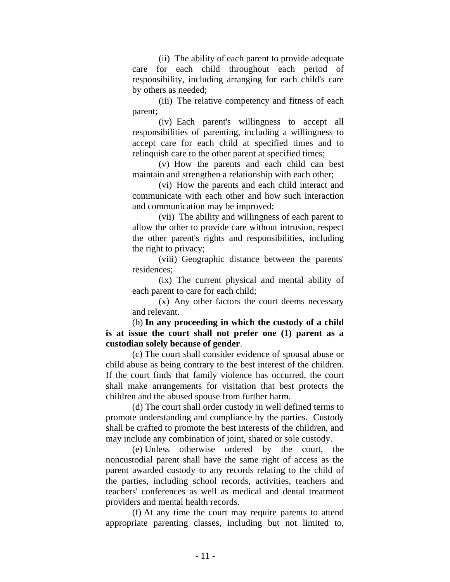(ii) The ability of each parent to provide adequate care for each child throughout each period of responsibility, including arranging for each child's care by others as needed;

(iii) The relative competency and fitness of each parent;

(iv) Each parent's willingness to accept all responsibilities of parenting, including a willingness to accept care for each child at specified times and to relinquish care to the other parent at specified times;

(v) How the parents and each child can best maintain and strengthen a relationship with each other;

(vi) How the parents and each child interact and communicate with each other and how such interaction and communication may be improved;

(vii) The ability and willingness of each parent to allow the other to provide care without intrusion, respect the other parent's rights and responsibilities, including the right to privacy;

(viii) Geographic distance between the parents' residences;

(ix) The current physical and mental ability of each parent to care for each child;

(x) Any other factors the court deems necessary and relevant.

 (b) **In any proceeding in which the custody of a child is at issue the court shall not prefer one (1) parent as a custodian solely because of gender**.

(c) The court shall consider evidence of spousal abuse or child abuse as being contrary to the best interest of the children. If the court finds that family violence has occurred, the court shall make arrangements for visitation that best protects the children and the abused spouse from further harm.

(d) The court shall order custody in well defined terms to promote understanding and compliance by the parties. Custody shall be crafted to promote the best interests of the children, and may include any combination of joint, shared or sole custody.

(e) Unless otherwise ordered by the court, the noncustodial parent shall have the same right of access as the parent awarded custody to any records relating to the child of the parties, including school records, activities, teachers and teachers' conferences as well as medical and dental treatment providers and mental health records.

(f) At any time the court may require parents to attend appropriate parenting classes, including but not limited to,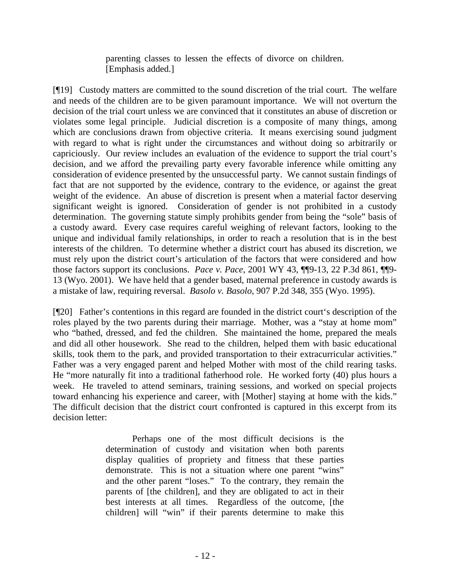parenting classes to lessen the effects of divorce on children. [Emphasis added.]

[¶19] Custody matters are committed to the sound discretion of the trial court. The welfare and needs of the children are to be given paramount importance. We will not overturn the decision of the trial court unless we are convinced that it constitutes an abuse of discretion or violates some legal principle. Judicial discretion is a composite of many things, among which are conclusions drawn from objective criteria. It means exercising sound judgment with regard to what is right under the circumstances and without doing so arbitrarily or capriciously. Our review includes an evaluation of the evidence to support the trial court's decision, and we afford the prevailing party every favorable inference while omitting any consideration of evidence presented by the unsuccessful party. We cannot sustain findings of fact that are not supported by the evidence, contrary to the evidence, or against the great weight of the evidence. An abuse of discretion is present when a material factor deserving significant weight is ignored. Consideration of gender is not prohibited in a custody determination. The governing statute simply prohibits gender from being the "sole" basis of a custody award. Every case requires careful weighing of relevant factors, looking to the unique and individual family relationships, in order to reach a resolution that is in the best interests of the children. To determine whether a district court has abused its discretion, we must rely upon the district court's articulation of the factors that were considered and how those factors support its conclusions. *Pace v. Pace*, 2001 WY 43, ¶¶9-13, 22 P.3d 861, ¶¶9- 13 (Wyo. 2001). We have held that a gender based, maternal preference in custody awards is a mistake of law, requiring reversal. *Basolo v. Basolo*, 907 P.2d 348, 355 (Wyo. 1995).

[¶20] Father's contentions in this regard are founded in the district court's description of the roles played by the two parents during their marriage. Mother, was a "stay at home mom" who "bathed, dressed, and fed the children. She maintained the home, prepared the meals and did all other housework. She read to the children, helped them with basic educational skills, took them to the park, and provided transportation to their extracurricular activities." Father was a very engaged parent and helped Mother with most of the child rearing tasks. He "more naturally fit into a traditional fatherhood role. He worked forty (40) plus hours a week. He traveled to attend seminars, training sessions, and worked on special projects toward enhancing his experience and career, with [Mother] staying at home with the kids." The difficult decision that the district court confronted is captured in this excerpt from its decision letter:

> Perhaps one of the most difficult decisions is the determination of custody and visitation when both parents display qualities of propriety and fitness that these parties demonstrate. This is not a situation where one parent "wins" and the other parent "loses." To the contrary, they remain the parents of [the children], and they are obligated to act in their best interests at all times. Regardless of the outcome, [the children] will "win" if their parents determine to make this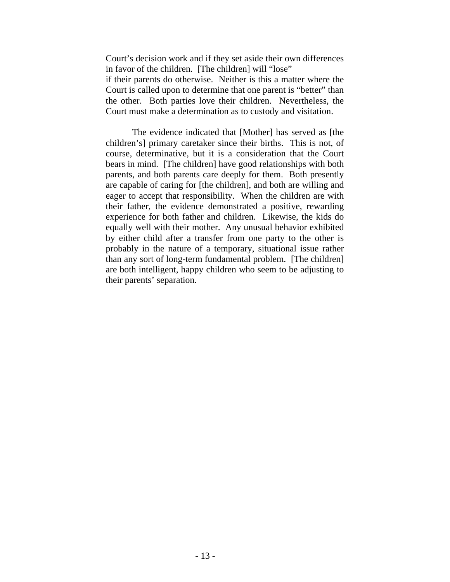Court's decision work and if they set aside their own differences in favor of the children. [The children] will "lose"

if their parents do otherwise. Neither is this a matter where the Court is called upon to determine that one parent is "better" than the other. Both parties love their children. Nevertheless, the Court must make a determination as to custody and visitation.

The evidence indicated that [Mother] has served as [the children's] primary caretaker since their births. This is not, of course, determinative, but it is a consideration that the Court bears in mind. [The children] have good relationships with both parents, and both parents care deeply for them. Both presently are capable of caring for [the children], and both are willing and eager to accept that responsibility. When the children are with their father, the evidence demonstrated a positive, rewarding experience for both father and children. Likewise, the kids do equally well with their mother. Any unusual behavior exhibited by either child after a transfer from one party to the other is probably in the nature of a temporary, situational issue rather than any sort of long-term fundamental problem. [The children] are both intelligent, happy children who seem to be adjusting to their parents' separation.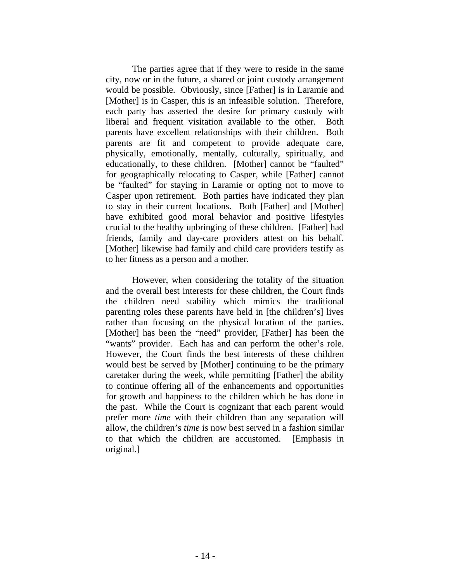The parties agree that if they were to reside in the same city, now or in the future, a shared or joint custody arrangement would be possible. Obviously, since [Father] is in Laramie and [Mother] is in Casper, this is an infeasible solution. Therefore, each party has asserted the desire for primary custody with liberal and frequent visitation available to the other. Both parents have excellent relationships with their children. Both parents are fit and competent to provide adequate care, physically, emotionally, mentally, culturally, spiritually, and educationally, to these children. [Mother] cannot be "faulted" for geographically relocating to Casper, while [Father] cannot be "faulted" for staying in Laramie or opting not to move to Casper upon retirement. Both parties have indicated they plan to stay in their current locations. Both [Father] and [Mother] have exhibited good moral behavior and positive lifestyles crucial to the healthy upbringing of these children. [Father] had friends, family and day-care providers attest on his behalf. [Mother] likewise had family and child care providers testify as to her fitness as a person and a mother.

However, when considering the totality of the situation and the overall best interests for these children, the Court finds the children need stability which mimics the traditional parenting roles these parents have held in [the children's] lives rather than focusing on the physical location of the parties. [Mother] has been the "need" provider, [Father] has been the "wants" provider. Each has and can perform the other's role. However, the Court finds the best interests of these children would best be served by [Mother] continuing to be the primary caretaker during the week, while permitting [Father] the ability to continue offering all of the enhancements and opportunities for growth and happiness to the children which he has done in the past. While the Court is cognizant that each parent would prefer more *time* with their children than any separation will allow, the children's *time* is now best served in a fashion similar to that which the children are accustomed. [Emphasis in original.]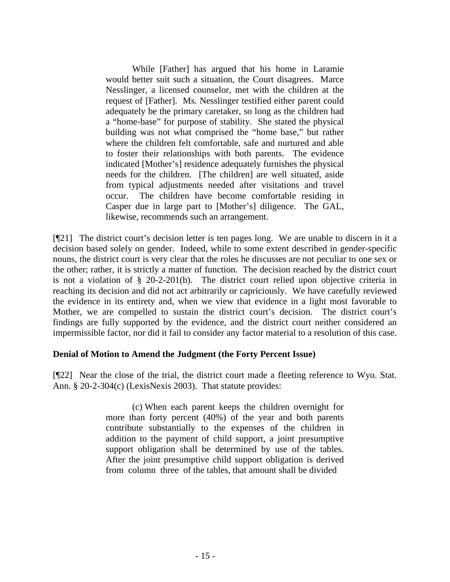While [Father] has argued that his home in Laramie would better suit such a situation, the Court disagrees. Marce Nesslinger, a licensed counselor, met with the children at the request of [Father]. Ms. Nesslinger testified either parent could adequately be the primary caretaker, so long as the children had a "home-base" for purpose of stability. She stated the physical building was not what comprised the "home base," but rather where the children felt comfortable, safe and nurtured and able to foster their relationships with both parents. The evidence indicated [Mother's] residence adequately furnishes the physical needs for the children. [The children] are well situated, aside from typical adjustments needed after visitations and travel occur. The children have become comfortable residing in Casper due in large part to [Mother's] diligence. The GAL, likewise, recommends such an arrangement.

[¶21] The district court's decision letter is ten pages long. We are unable to discern in it a decision based solely on gender. Indeed, while to some extent described in gender-specific nouns, the district court is very clear that the roles he discusses are not peculiar to one sex or the other; rather, it is strictly a matter of function. The decision reached by the district court is not a violation of § 20-2-201(b). The district court relied upon objective criteria in reaching its decision and did not act arbitrarily or capriciously. We have carefully reviewed the evidence in its entirety and, when we view that evidence in a light most favorable to Mother, we are compelled to sustain the district court's decision. The district court's findings are fully supported by the evidence, and the district court neither considered an impermissible factor, nor did it fail to consider any factor material to a resolution of this case.

## **Denial of Motion to Amend the Judgment (the Forty Percent Issue)**

[¶22] Near the close of the trial, the district court made a fleeting reference to Wyo. Stat. Ann. § 20-2-304(c) (LexisNexis 2003). That statute provides:

> (c) When each parent keeps the children overnight for more than forty percent (40%) of the year and both parents contribute substantially to the expenses of the children in addition to the payment of child support, a joint presumptive support obligation shall be determined by use of the tables. After the joint presumptive child support obligation is derived from column three of the tables, that amount shall be divided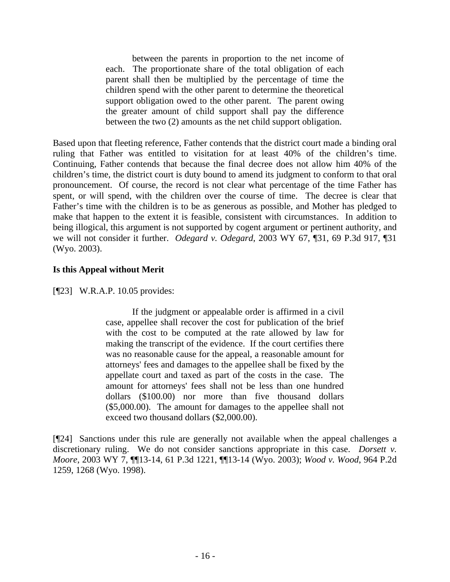between the parents in proportion to the net income of each. The proportionate share of the total obligation of each parent shall then be multiplied by the percentage of time the children spend with the other parent to determine the theoretical support obligation owed to the other parent. The parent owing the greater amount of child support shall pay the difference between the two (2) amounts as the net child support obligation.

Based upon that fleeting reference, Father contends that the district court made a binding oral ruling that Father was entitled to visitation for at least 40% of the children's time. Continuing, Father contends that because the final decree does not allow him 40% of the children's time, the district court is duty bound to amend its judgment to conform to that oral pronouncement. Of course, the record is not clear what percentage of the time Father has spent, or will spend, with the children over the course of time. The decree is clear that Father's time with the children is to be as generous as possible, and Mother has pledged to make that happen to the extent it is feasible, consistent with circumstances. In addition to being illogical, this argument is not supported by cogent argument or pertinent authority, and we will not consider it further. *Odegard v. Odegard*, 2003 WY 67, ¶31, 69 P.3d 917, ¶31 (Wyo. 2003).

# **Is this Appeal without Merit**

[¶23] W.R.A.P. 10.05 provides:

If the judgment or appealable order is affirmed in a civil case, appellee shall recover the cost for publication of the brief with the cost to be computed at the rate allowed by law for making the transcript of the evidence. If the court certifies there was no reasonable cause for the appeal, a reasonable amount for attorneys' fees and damages to the appellee shall be fixed by the appellate court and taxed as part of the costs in the case. The amount for attorneys' fees shall not be less than one hundred dollars (\$100.00) nor more than five thousand dollars (\$5,000.00). The amount for damages to the appellee shall not exceed two thousand dollars (\$2,000.00).

[¶24] Sanctions under this rule are generally not available when the appeal challenges a discretionary ruling. We do not consider sanctions appropriate in this case. *Dorsett v. Moore*, 2003 WY 7, ¶¶13-14, 61 P.3d 1221, ¶¶13-14 (Wyo. 2003); *Wood v. Wood*, 964 P.2d 1259, 1268 (Wyo. 1998).